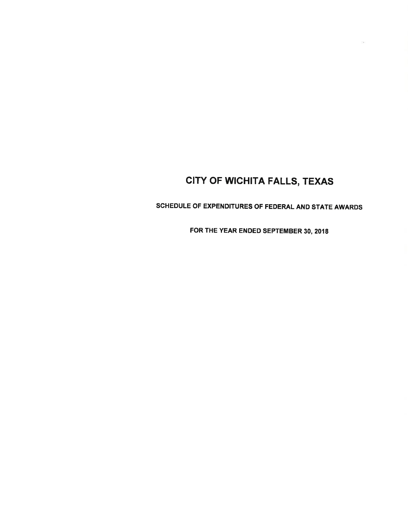SCHEDULE OF EXPENDITURES OF FEDERAL AND STATE AWARDS

FOR THE YEAR ENDED SEPTEMBER 30, 2018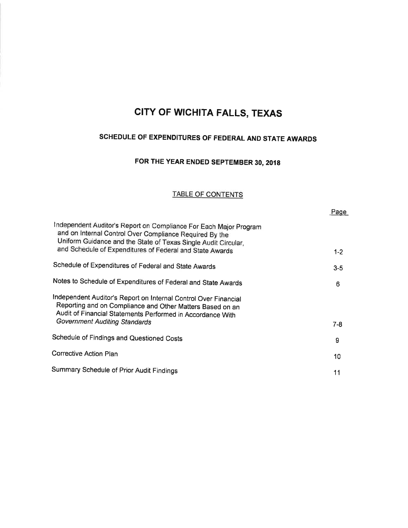# SCHEDULE OF EXPENDITURES OF FEDERAL AND STATE AWARDS

# FOR THE YEAR ENDED SEPTEMBER 30, 2018

#### TABLE OF CONTENTS

| Page    |
|---------|
| $1 - 2$ |
| $3 - 5$ |
| 6       |
|         |
| 7-8     |
| 9       |
| 10      |
| 11      |
|         |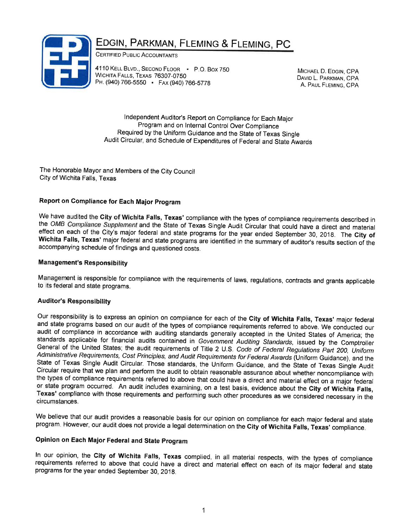# EDGIN, PARKMAN, FLEMING & FLEMING, PC



CERTIFIED PUBLIC ACCOUNTANTS

4110 KELL BLVD., SECOND FLOOR - P.O. Box 750 WICHITA FALLS, TEXAS 76307-0750 PH. (940) 766-5550 • Fax (940) 766-5778

MICHAEL D. EDGIN, CPA DAVID L. PARKMAN, CPA A. PAUL FLEMING, CPA

lndependent Auditor's Report on Compliance for Each Major Program and on lnternal Control Over Compliance Required by the Uniform Guidance and the State of Texas Single Audit Circular, and Schedule of Expenditures of Federal and State Awards

The Honorable Mayor and Members of the City Council City of Wichita Falls, Texas

### Report on Compliance for Each Major Program

We have audited the City of Wichita Falls, Texas' compliance with the types of compliance requirements described in the *OMB Compliance Supplement* and the State of Texas Single Audit Circular that could have a direct and

#### **Management's Responsibility**

Management is responsible for compliance with the requirements of laws, regulations, contracts and grants applicable to its federal and state programs.

#### Auditor's Responsibility

Our responsibility is to express an opinion on compliance for each of the City of Wichita Falls, Texas' major federal<br>and state programs based on our audit of the types of compliance requirements referred to above. We cond Texas' compliance with those requirements and performing such other procedures as we considered necessary in the circumstances.

We believe that our audit provides a reasonable basis for our opinion on compliance for each major federal and state program. However, our audit does not provide a legal determination on the City of Wichita Falls, Texas' compliance.

### Opinion on Each Major Federal and State program

In our opinion, the City of Wichita Falls, Texas complied, in all material respects, with the types of compliance requirements referred to above that could have a direct and material effect on each of its major federal and programs for the year ended September 30, 201g.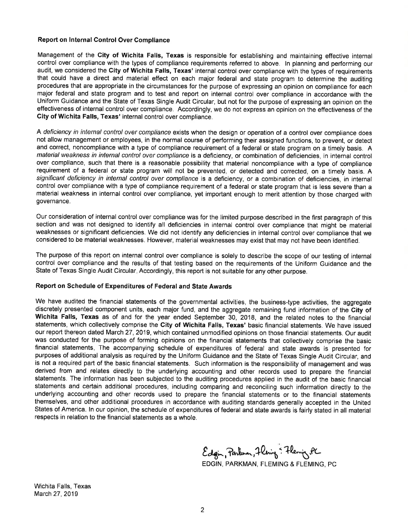#### Report on lnternal Control Over Compliance

Management of the City of Wichita Falls, Texas is responsible for establishing and maintaining effective internal control over compliance with the types of compliance requirements referred to above. ln planning and performing our audit, we considered the City of Wichita Falls, Texas' internal control over compliance with the types of requirements that could have a direct and material effect on each major federal and state program to determine the auditing procedures that are appropriate in the circumstances for the purpose of expressing an opinion on compliance for each major federal and state program and to test and report on internal control over compliance in accordance with the Uniform Guidance and the State of Texas Single Audit Circular, but not for the purpose of expressing an opinion on the effectiveness of internal control over compliance. Accordingly, we do not express an opinion on the effectiveness of the Gity of Wichita Falls, Texas' internal control over compliance.

A deficiency in internal control over compliance exists when the design or operation of a control over compliance does not allow management or employees, in the normal course of performing their assigned functions, to prevent, or detect and correct, noncompliance with a type of compliance requirement of a federal or state program on a timely basis. A material weakness in internal control over compliance is a deficiency, or combination of deficiencies, in internal control over compliance, such that there is a reasonable possibility that material noncompliance with a type of compliance requirement of a federal or state program will not be prevented, or detected and corrected, on a timely basis. A significant deficiency in internal control over compliance is a deficiency, or a combination of deficiencies, in internal control over compliance with a type of compliance requirement of a federal or state program that is less severe than a material weakness in internal control over compliance, yet important enough to merit attention by those charged with governance.

Our consideration of internal control over compliance was for the limited purpose described in the first paragraph of this section and was not designed to identify all deficiencies in internal control over compliance that might be material weaknesses or significant deficiencies. We did not identify any deficiencies in internal control over compliance that we considered to be material weaknesses. However, material weaknesses may exist that may not have been identified.

The purpose of this report on internal control over compliance is solely to describe the scope of our testing of internal control over compliance and the results of that testing based on the requirements of the Uniform Guidance and the State of Texas Single Audit Circular. Accordingly, this report is not suitable for any other purpose.

#### Report on Schedule of Expenditures of Federal and State Awards

We have audited the financial statements of the governmental activities, the business-type activities, the aggregate discretely presented component units, each major fund, and the aggregate remaining fund information of the City of Wichita Falls, Texas as of and for the year ended September 30, 2018, and the related notes to the financial statements, which collectively comprise the City of Wichita Falls, Texas' basic financial statements. We have issued our report thereon dated March 27, 2019, which contained unmodified opinions on those financial statements. Our audit was conducted for the purpose of forming opinions on the financial statements that collectively comprise the basic financial statements. The accompanying schedule of expenditures of federal and state awards is presented for purposes of additional analysis as required by the Uniform Guidance and the State of Texas Single Audit Circular, and is not a required part of the basic financial statements. Such information is the responsibility of management and was derived from and relates directly to the underlying accounting and other records used to prepare the financial statements. The information has been subjected to the auditing procedures applied in the audit of the basic financial statements and certain additional procedures, including comparing and reconciling such information directly to the underlying accounting and other records used to prepare the financial statements or to the financial statements themselves, and other additional procedures in accordance with auditing standards generally accepted in the United States of America. ln our opinion, the schedule of expenditures of federal and state awards is fairly stated in all material respects in relation to the financial statements as a whole.

Edgin, Parknon, Flening : Flening, PC EDGIN, PARKMAN, FLEMING & FLEMING, PC

Wichita Falls, Texas March 27,2019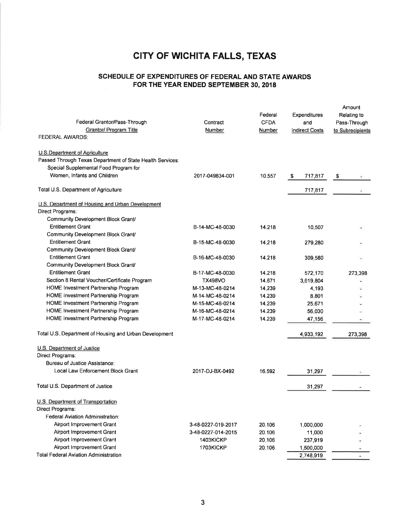### SCHEDULE OF EXPENDITURES OF FEDERAL AND STATE AWARDS FOR THE YEAR ENDED SEPTEMBER 30, 2018

| Federal Grantor/Pass-Through<br>Grantor/ Program Title                                                                                                                    | Contract<br>Number                 | Federal<br><b>CFDA</b><br>Number | Expenditures<br>and<br><b>Indirect Costs</b> | Amount<br>Relating to<br>Pass-Through<br>to Subrecipients |
|---------------------------------------------------------------------------------------------------------------------------------------------------------------------------|------------------------------------|----------------------------------|----------------------------------------------|-----------------------------------------------------------|
| <b>FEDERAL AWARDS:</b>                                                                                                                                                    |                                    |                                  |                                              |                                                           |
| <b>U.S.Department of Agriculture</b><br>Passed Through Texas Department of State Health Services:<br>Special Supplemental Food Program for<br>Women, Infants and Children | 2017-049834-001                    | 10.557                           | \$<br>717,817                                | \$                                                        |
| Total U.S. Department of Agriculture                                                                                                                                      |                                    |                                  | 717,817                                      |                                                           |
| U.S. Department of Housing and Urban Development<br>Direct Programs:<br>Community Development Block Grant/                                                                |                                    |                                  |                                              |                                                           |
| <b>Entitlement Grant</b><br>Community Development Block Grant/                                                                                                            | B-14-MC-48-0030                    | 14.218                           | 10,507                                       |                                                           |
| <b>Entitlement Grant</b><br>Community Development Block Grant/                                                                                                            | B-15-MC-48-0030                    | 14.218                           | 279,280                                      |                                                           |
| <b>Entitlement Grant</b><br>Community Development Block Grant/                                                                                                            | B-16-MC-48-0030                    | 14.218                           | 309,580                                      |                                                           |
| <b>Entitlement Grant</b><br>Section 8 Rental Voucher/Certificate Program                                                                                                  | B-17-MC-48-0030<br><b>TX498VO</b>  | 14.218<br>14.871                 | 572,170<br>3,619,804                         | 273,398                                                   |
| HOME Investment Partnership Program<br>HOME Investment Partnership Program                                                                                                | M-13-MC-48-0214<br>M-14-MC-48-0214 | 14.239<br>14.239                 | 4,193<br>8,801                               |                                                           |
| HOME Investment Partnership Program                                                                                                                                       | M-15-MC-48-0214                    | 14.239                           | 25,671                                       |                                                           |
| HOME Investment Partnership Program<br>HOME Investment Partnership Program                                                                                                | M-16-MC-48-0214<br>M-17-MC-48-0214 | 14.239<br>14.239                 | 56,030<br>47,156                             |                                                           |
| Total U.S. Department of Housing and Urban Development                                                                                                                    |                                    |                                  | 4,933,192                                    | 273,398                                                   |
| U.S. Department of Justice<br>Direct Programs:                                                                                                                            |                                    |                                  |                                              |                                                           |
| Bureau of Justice Assistance:<br>Local Law Enforcement Block Grant                                                                                                        | 2017-DJ-BX-0492                    | 16.592                           | 31,297                                       |                                                           |
| Total U.S. Department of Justice                                                                                                                                          |                                    |                                  | 31,297                                       |                                                           |
| U.S. Department of Transportation<br>Direct Programs:<br>Federal Aviation Administration:                                                                                 |                                    |                                  |                                              |                                                           |
| Airport Improvement Grant                                                                                                                                                 | 3-48-0227-019-2017                 | 20.106                           | 1,000,000                                    |                                                           |
| Airport Improvement Grant<br>Airport Improvement Grant                                                                                                                    | 3-48-0227-014-2015<br>1403KICKP    | 20.106<br>20.106                 | 11,000                                       |                                                           |
| Airport Improvement Grant                                                                                                                                                 | 1703KICKP                          | 20,106                           | 237,919<br>1,500,000                         |                                                           |
| <b>Total Federal Aviation Administration</b>                                                                                                                              |                                    |                                  | 2,748,919                                    |                                                           |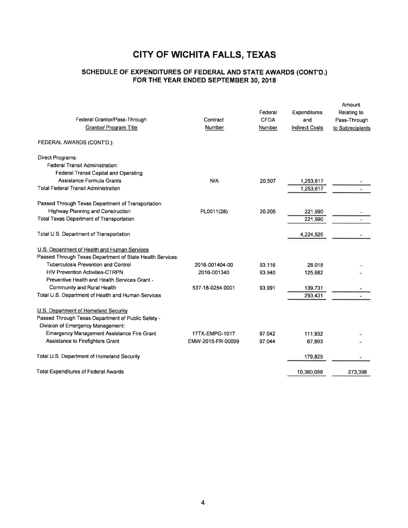### SCHEDULE OF EXPENDTTURES OF FEDERAL AND STATE AWARDS (CONT'D.) FOR THE YEAR ENDED SEPTEMBER 30, 2018

| Federal Grantor/Pass-Through<br>Grantor/ Program Title<br>FEDERAL AWARDS (CONT'D.): | Contract<br>Number | Federal<br><b>CFDA</b><br><b>Number</b> | <b>Expenditures</b><br>and<br><b>Indirect Costs</b> | Amount<br>Relating to<br>Pass-Through<br>to Subrecipients |
|-------------------------------------------------------------------------------------|--------------------|-----------------------------------------|-----------------------------------------------------|-----------------------------------------------------------|
| Direct Programs:                                                                    |                    |                                         |                                                     |                                                           |
| <b>Federal Transit Administration:</b>                                              |                    |                                         |                                                     |                                                           |
| Federal Transit Capital and Operating                                               |                    |                                         |                                                     |                                                           |
| Assistance Formula Grants                                                           | N/A                | 20.507                                  | 1,253,617                                           |                                                           |
| <b>Total Federal Transit Administration</b>                                         |                    |                                         | 1,253,617                                           |                                                           |
| Passed Through Texas Department of Transportation:                                  |                    |                                         |                                                     |                                                           |
| Highway Planning and Construction                                                   | PL0011(28)         | 20.205                                  | 221,990                                             |                                                           |
| <b>Total Texas Department of Transportation</b>                                     |                    |                                         | 221,990                                             |                                                           |
| Total U.S. Department of Transportation                                             |                    |                                         | 4,224,526                                           |                                                           |
| U.S. Department of Health and Human Services                                        |                    |                                         |                                                     |                                                           |
| Passed Through Texas Department of State Health Services:                           |                    |                                         |                                                     |                                                           |
| <b>Tuberculosis Prevention and Control</b>                                          | 2016-001404-00     | 93.116                                  | 28.018                                              |                                                           |
| <b>HIV Prevention Activities-CTRPN</b>                                              | 2016-001340        | 93.940                                  | 125.682                                             |                                                           |
| Preventive Health and Health Services Grant -                                       |                    |                                         |                                                     |                                                           |
| Community and Rural Health                                                          | 537-18-0254.0001   | 93.991                                  | 139,731                                             |                                                           |
| Total U.S. Department of Health and Human Services                                  |                    |                                         | 293,431                                             |                                                           |
| U.S. Department of Homeland Security                                                |                    |                                         |                                                     |                                                           |
| Passed Through Texas Department of Public Safety -                                  |                    |                                         |                                                     |                                                           |
| Division of Emergency Management:                                                   |                    |                                         |                                                     |                                                           |
| <b>Emergency Management Assistance Fire Grant</b>                                   | 17TX-EMPG-1017     | 97.042                                  | 111,932                                             |                                                           |
| Assistance to Firefighters Grant                                                    | EMW-2015-FR-00099  | 97.044                                  | 67,893                                              |                                                           |
| Total U.S. Department of Homeland Security                                          |                    |                                         | 179,825                                             |                                                           |
| <b>Total Expenditures of Federal Awards</b>                                         |                    |                                         | 10,380,088                                          | 273,398                                                   |
|                                                                                     |                    |                                         |                                                     |                                                           |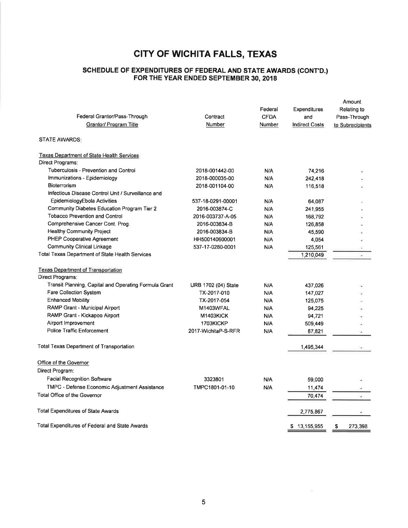#### SGHEDULE OF EXPENDTTURES OF FEDERAL AND STATE AWARDS (CONT'D.) FOR THE YEAR ENDED SEPTEMBER 30, 2018

| Federal Grantor/Pass-Through<br>Grantor/ Program Title | Contract<br>Number  | Federal<br><b>CFDA</b><br>Number | Expenditures<br>and<br><b>Indirect Costs</b> | Amount<br>Relating to<br>Pass-Through<br>to Subrecipients |
|--------------------------------------------------------|---------------------|----------------------------------|----------------------------------------------|-----------------------------------------------------------|
| <b>STATE AWARDS:</b>                                   |                     |                                  |                                              |                                                           |
| <b>Texas Department of State Health Services</b>       |                     |                                  |                                              |                                                           |
| Direct Programs:                                       |                     |                                  |                                              |                                                           |
| Tuberculosis - Prevention and Control                  | 2018-001442-00      | N/A                              | 74,216                                       |                                                           |
| Immunizations - Epidemiology                           | 2018-000035-00      | N/A                              | 242.418                                      |                                                           |
| Bioterrorism                                           | 2018-001104-00      | N/A                              | 116,518                                      |                                                           |
| Infectious Disease Control Unit / Surveillance and     |                     |                                  |                                              |                                                           |
| EpidemiologyEbola Activities                           | 537-18-0291-00001   | N/A                              | 64,087                                       |                                                           |
| Community Diabetes Education Program Tier 2            | 2016-003874-C       | N/A                              | 241,955                                      |                                                           |
| <b>Tobacco Prevention and Control</b>                  | 2016-003737-A-05    | N/A                              | 168,792                                      |                                                           |
| Comprehensive Cancer Cont. Prog.                       | 2016-003834-B       | N/A                              | 126,858                                      |                                                           |
| <b>Healthy Community Project</b>                       | 2016-003834-B       | N/A                              | 45,590                                       |                                                           |
| PHEP Cooperative Agreement                             | HH500140600001      | N/A                              | 4,054                                        |                                                           |
| <b>Community Clinical Linkage</b>                      | 537-17-0280-0001    | N/A                              | 125,561                                      |                                                           |
| Total Texas Department of State Health Services        |                     |                                  | 1,210,049                                    | ×                                                         |
| <b>Texas Department of Transportation</b>              |                     |                                  |                                              |                                                           |
| Direct Programs:                                       |                     |                                  |                                              |                                                           |
| Transit Planning, Capital and Operating Formula Grant  | URB 1702 (04) State | N/A                              | 437,026                                      |                                                           |
| <b>Fare Collection System</b>                          | TX-2017-010         | N/A                              | 147.027                                      |                                                           |
| <b>Enhanced Mobility</b>                               | TX-2017-054         | N/A                              | 125,075                                      |                                                           |
| RAMP Grant - Municipal Airport                         | M1403WFAL           | N/A                              | 94,225                                       |                                                           |
| RAMP Grant - Kickapoo Airport                          | M1403KICK           | N/A                              | 94,721                                       |                                                           |
| Airport Improvement                                    | 1703KICKP           | N/A                              | 509,449                                      |                                                           |
| <b>Police Traffic Enforcement</b>                      | 2017-WichitaP-S-RFR | N/A                              | 87,821                                       |                                                           |
| <b>Total Texas Department of Transportation</b>        |                     |                                  | 1,495,344                                    |                                                           |
| Office of the Governor                                 |                     |                                  |                                              |                                                           |
| Direct Program:                                        |                     |                                  |                                              |                                                           |
| <b>Facial Recognition Software</b>                     | 3323801             | N/A                              | 59,000                                       |                                                           |
| TMPC - Defense Economic Adjustment Assistance          | TMPC1801-01-10      | N/A                              | 11,474                                       |                                                           |
| Total Office of the Governor                           |                     |                                  | 70,474                                       |                                                           |
|                                                        |                     |                                  |                                              |                                                           |
| <b>Total Expenditures of State Awards</b>              |                     |                                  | 2,775,867                                    |                                                           |
| Total Expenditures of Federal and State Awards         |                     |                                  | \$13,155,955                                 | 273,398<br>\$                                             |
|                                                        |                     |                                  |                                              |                                                           |

 $\sim$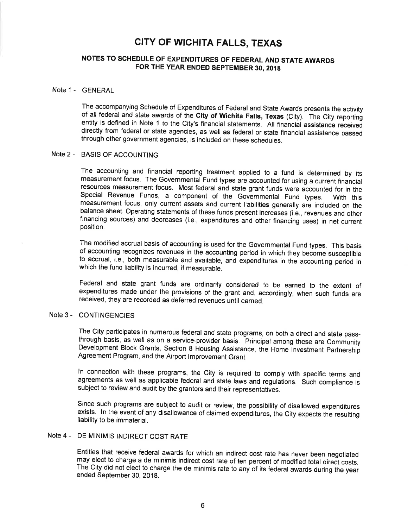### NOTES TO SCHEDULE OF EXPENDITURES OF FEDERAL AND STATE AWARDS FOR THE YEAR ENDED SEPTEMBER 30, 2018

#### Note 1 - GENERAL

The accompanying Schedule of Expenditures of Federal and State Awards presents the activity of all federal and state awards of the City of Wichita Falls, Texas (City). The City reporting entity is defined in Note 1 to the City's financial statements. All financial assistance received directly from federal or state agencies, as well as federal or state financial assistance passed through other government agencies, is included on these schedules.

### Note 2 - BASIS OF ACCOUNTING

The accounting and financial reporting treatment applied to a fund is determined by its measurement focus. The Governmental Fund types are accounted for using a current financial resources measurement focus. Most federal and state grant funds were accounted for in the Special Revenue Funds, a component of the Governmental Fund types. With this measurement focus, only current assets and current liabilities generally are included on the balance sheet. Operating statements of these funds present increases (i.e., revenues and other financing sources) and decreases (i.e., expenditures and other financing uses) in net current position.

The modified accrual basis of accounting is used for the Governmental Fund types. This basis of accounting recognizes revenues in the accounting period in which they become susceptible to accrual, i.e., both measurable and available, and expenditures in the accounting period in which the fund liability is incurred, if measurable.

Federal and state grant funds are ordinarily considered to be earned to the extent of expenditures made under the provisions of the grant and, accordingly, when such funds are received, they are recorded as deferred revenues until earned.

### Note 3 - CONTINGENCIES

The City participates in numerous federal and state programs, on both a direct and state passthrough basis, as well as on a service-provider basis. Principal among these are Community Development Block Grants, Section 8 Housing Assistance, the Home Investment Partnership Agreement Program, and the Airport lmprovement Grant.

ln connection with these programs, the City is required to comply with specific terms and agreements as well as applicable federal and state laws and regulations. Such compliance is subject to review and audit by the grantors and their representatives.

Since such programs are subject to audit or review, the possibility of disallowed expenditures exists. ln the event of any disallowance of claimed expenditures, the City expects the resulting liability to be immaterial.

### Note 4 - DE MlNlMlS |ND|RECT COST RATE

Entities that receive federal awards for which an indirect cost rate has never been negotiated may elect to charge a de minimis indirect cost rate of ten percent of modified total direct costs. The City did not elect to charge the de minimis rate to any of its federal awards during the year ended September 30, 2018.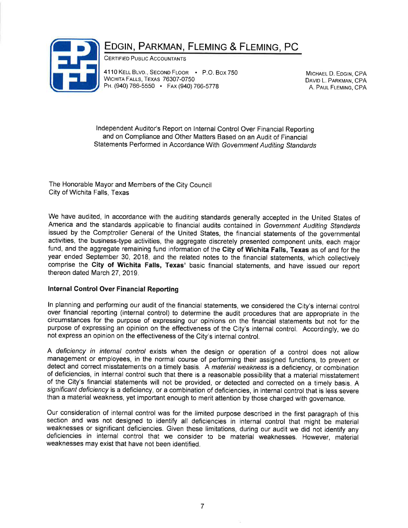

## EDGIN, PARKMAN, FLEMING & FLEMING, PC

CERTIFIED PUBLIC ACCOUNTANTS

4110 KELL BLVD., SECOND FLOOR - P.O. BOX 750 WICHITA FALLS, TEXAS 76307-0750 PH. (940) 766-5550 FAx (940) 766-5778

MICHAEL D. EDGIN, CPA DAVID L. PARKMAN, CPA A. PAUL FLEMING, CPA

Independent Auditor's Report on Internal Control Over Financial Reporting and on Compliance and Other Matters Based on an Audit of Financial statements Performed in Accordance with Government Auditing standards

The Honorable Mayor and Members of the City Council City of Wichita Falls, Texas

We have audited, in accordance with the auditing standards generally accepted in the United States of America and the standards applicable to financial audits contained in Government Auditing Standards issued by the Comptroller General of the United States, the financial statements of the governmental activities, the business-type activities, the aggregate discretely presented component units, each major fund, and the aggregate remaining fund information of the City of Wichita Falls, Texas as of and for the year ended September 30, 2018, and the related notes to the financial statements, which collectively comprise the Gity of Wichita Falls, Texas' basic financial statements, and have issued our report thereon dated March 27,2019.

### lnternal Gontrol Over Financial Reporting

ln planning and performing our audit of the financial statements, we considered the City's internal control over financial reporting (internal control) to determine the audit procedures that are appropriate in the circumstances for the purpose of expressing our opinions on the financial statements but not for the purpose of expressing an opinion on the effectiveness of the City's internal control. Accordingly, we do not express an opinion on the effectiveness of the City's internal control.

A deficiency in internal control exists when the design or operation of a control does not allow management or employees, in the normal course of performing their assigned functions, to prevent or detect and correct misstatements on a timely basis. A material weakness is a deficiency, or combination of deficiencies, in internal control such that there is a reasonable possibility that a material misstatement of the City's financial statements will not be provided, or detected and corrected on a timely basis. A significant deficiency is a deficiency, or a combination of deficiencies, in internal control that is less severe than a material weakness, yet important enough to merit attention by those charged with governance.

Our consideration of internal control was for the limited purpose described in the first paragraph of this section and was not designed to identify all deficiencies in internal control that might be material weaknesses or significant deficiencies. Given these limitations, during our audit we did not identify any deficiencies in internal control that we consider to be material weaknesses. However, material weaknesses may exist that have not been identified.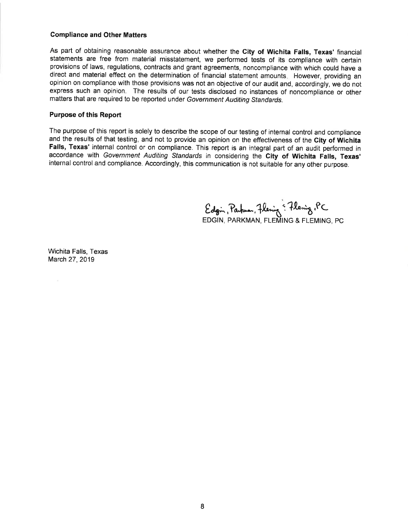#### Compliance and Other Matters

As part of obtaining reasonable assurance about whether the City of Wichita Falls, Texas' financial statements are free from material misstatement, we performed tests of its compliance with certain provisions of laws, regulations, contracts and grant agreements, noncompliance with which could have <sup>a</sup> direct and material effect on the determination of financial statement amounts. However, providing an opinion on compliance with those provisions was not an objective of our audit and, accordingly, we do not express such an opinion. The results of our tests disclosed no instances of noncompliance or other matters that are required to be reported under Government Auditing standards.

#### Purpose of this Report

The purpose of this report is solely to describe the scope of our testing of internal control and compliance and the results of that testing, and not to provide an opinion on the effectiveness of the City of Wichita Falls, Texas' internal control or on compliance. This report is an integral part of an audit performed in accordance with Government Auditing Standards in considering the City of Wichita Falls, Texas' internal control and compliance. Accordingly, this communication is not suitable for any other purpose.

Edgin, Parkuan, Flening & Flening, PC EDGIN, PARKMAN, FLEMING & FLEMING, PC

Wichita Falls, Texas March 27,2019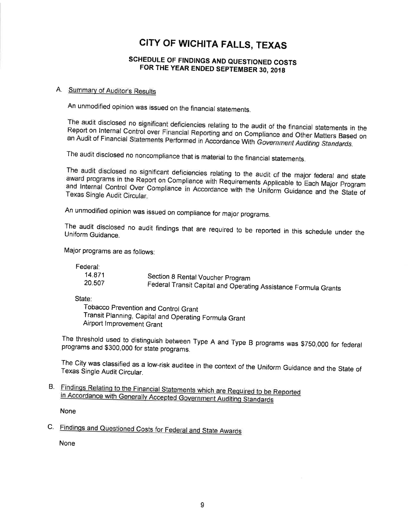### SCHEDULE OF FINDINGS AND QUESTIONED COSTS FOR THE YEAR ENDED SEPTEMBER 30, 2018

### A. Summarv of Auditor's Results

An unmodified opinion was issued on the financial statements.

The audit disclosed no significant deficiencies relating to the audit of the financial statements in the<br>Report on Internal Control over Financial Reporting and on Compliance and Other Matters Rased on Report on Internal Control over Financial Reporting and on Compliance and Other Matters Based on an Audit of Financial Statements Performed in Accordance With Government Auditing Standards.

The audit disclosed no noncompliance that is material to the financial statements.

award programs The audit disclosed no significant deficiencies relating to the audit of the major federal and state disclosed no significant deficiencies relating to the audit of the major federal and state<br>irams in the Report on Compliance with Requirements Applicable to Each Major Program Texas Single and Internal Control Over Compliance in Accordance with the Uniform Guidance and the State of<br>Texas Single Audit Circular.

An unmodified opinion was issued on compliance for major programs.

The audit disclosed no audit findings that are required to be reported in this schedule under the Uniform Guidance.

Major programs are as follows:

Federal:

| 14.871 | Section 8 Rental Voucher Program                                |
|--------|-----------------------------------------------------------------|
| 20.507 | Federal Transit Capital and Operating Assistance Formula Grants |
|        |                                                                 |

State:

Tobacco Prevention and Control Grant Transit.Planning, Capital and Operating Formula Grant Airport lmprovement Grant

programs and \$300,000 for state programs. The threshold used to distinguish between Type A and Type B programs was \$750,000 for federal

Texas Single The City was classified as a low-risk auditee in the context of the Uniform Guidance and the State of<br>Texas Single Audit Circular.

B. Findings Relating to the Financial Statements which are Requi

None

C. Findings and Questioned Costs for Federal and State Awards

None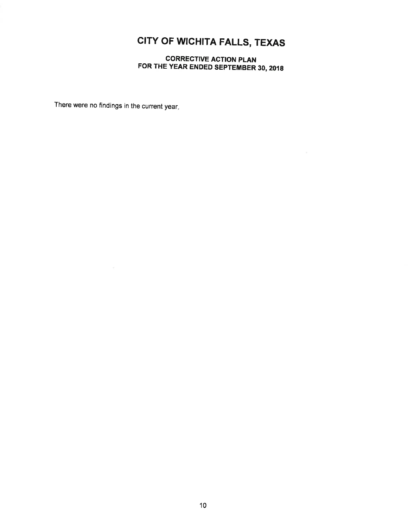CORRECTIVE ACTION PLAN FOR THE YEAR ENDED SEPTEMBER 30, 2018

There were no findings in the current year